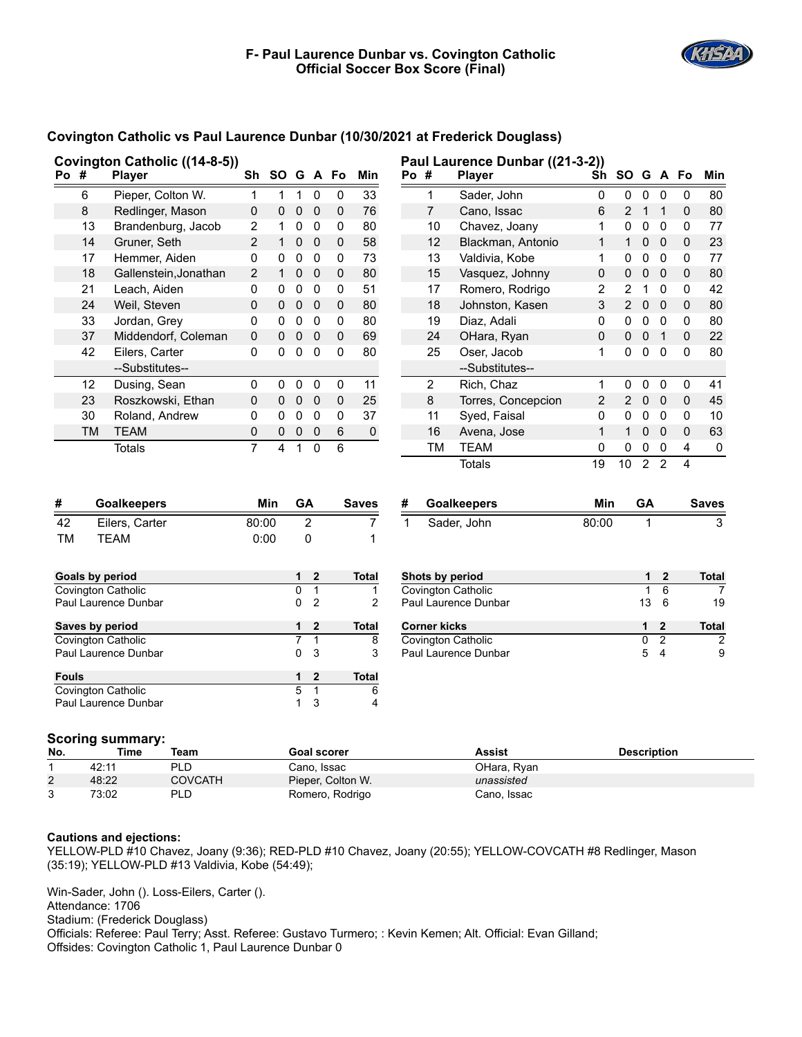**Paul Laurence Dunbar ((21-3-2))**



## **Covington Catholic vs Paul Laurence Dunbar (10/30/2021 at Frederick Douglass)**

| Po #                       |                | <b>Player</b>           | Sh                 | SO G A Fo               |                     |                         |                   | Min            | Po #          |                     | Player               | Sh                 | SO G A Fo      |                |                |             | Min            |
|----------------------------|----------------|-------------------------|--------------------|-------------------------|---------------------|-------------------------|-------------------|----------------|---------------|---------------------|----------------------|--------------------|----------------|----------------|----------------|-------------|----------------|
|                            | 6              | Pieper, Colton W.       | 1                  | $\mathbf{1}$            |                     | $1\quad 0$              | 0                 | 33             |               | 1                   | Sader, John          | 0                  | 0              | $\mathbf 0$    | 0              | 0           | 80             |
|                            | $\bf 8$        | Redlinger, Mason        | 0                  | 0                       | $\mathbf 0$         | $\overline{\mathbf{0}}$ | 0                 | 76             |               | $\overline{7}$      | Cano, Issac          | 6                  | $\overline{c}$ | $\mathbf 1$    | $\mathbf{1}$   | 0           | 80             |
|                            | 13             | Brandenburg, Jacob      | 2                  | $\mathbf{1}$            | $\mathsf{O}$        | $\overline{0}$          | 0                 | 80             |               | 10                  | Chavez, Joany        | 1                  | $\mathbf 0$    | $\pmb{0}$      | $\mathbf 0$    | $\mathbf 0$ | 77             |
|                            | 14             | Gruner, Seth            | $\overline{2}$     | 1                       | $\pmb{0}$           | $\overline{\mathbf{0}}$ | 0                 | 58             |               | 12                  | Blackman, Antonio    | $\mathbf{1}$       | $\mathbf{1}$   | $\mathbf 0$    | $\mathbf 0$    | $\pmb{0}$   | 23             |
|                            | 17             | Hemmer, Aiden           | 0                  | $\Omega$                | $\mathbf 0$         | $\mathbf 0$             | 0                 | 73             |               | 13                  | Valdivia, Kobe       | $\mathbf{1}$       | $\mathbf 0$    | $\mathbf 0$    | $\mathbf 0$    | $\pmb{0}$   | 77             |
|                            | 18             | Gallenstein, Jonathan   | 2                  | $\mathbf{1}$            | 0                   | $\overline{\mathbf{0}}$ | 0                 | 80             |               | 15                  | Vasquez, Johnny      | 0                  | $\mathbf{0}$   | $\mathbf 0$    | $\mathbf 0$    | $\pmb{0}$   | 80             |
|                            | 21             | Leach, Aiden            | 0                  | 0                       | $\pmb{0}$           | $\pmb{0}$               | 0                 | 51             |               | 17                  | Romero, Rodrigo      | 2                  | $\overline{2}$ | 1              | $\mathbf 0$    | 0           | 42             |
|                            | 24             | Weil, Steven            | 0                  | $\mathbf 0$             | $\mathbf 0$         | $\overline{0}$          | $\mathbf 0$       | 80             |               | 18                  | Johnston, Kasen      | 3                  | $\overline{2}$ | $\pmb{0}$      | $\mathbf 0$    | $\pmb{0}$   | 80             |
|                            | 33             | Jordan, Grey            | 0                  | 0                       | $\mathbf 0$         | $\mathbf 0$             | 0                 | 80             |               | 19                  | Diaz, Adali          | 0                  | 0              | $\pmb{0}$      | 0              | 0           | 80             |
|                            | 37             | Middendorf, Coleman     | 0                  | $\Omega$                | $\pmb{0}$           | $\overline{\mathbf{0}}$ | 0                 | 69             |               | 24                  | OHara, Ryan          | 0                  | 0              | $\pmb{0}$      | $\overline{1}$ | $\pmb{0}$   | 22             |
|                            | 42             | Eilers, Carter          | 0                  | 0                       | $\mathbf 0$         | $\mathbf 0$             | 0                 | 80             |               | 25                  | Oser, Jacob          | 1                  | 0              | $\mathbf 0$    | $\mathbf 0$    | $\mathbf 0$ | 80             |
|                            |                | --Substitutes--         |                    |                         |                     |                         |                   |                |               |                     | --Substitutes--      |                    |                |                |                |             |                |
|                            | 12             | Dusing, Sean            | 0                  | 0                       | $\pmb{0}$           | $\mathbf 0$             | 0                 | 11             |               | $\overline{2}$      | Rich, Chaz           | $\mathbf{1}$       | 0              | 0              | $\mathbf 0$    | $\mathbf 0$ | 41             |
|                            | 23             | Roszkowski, Ethan       | 0                  | 0                       | $\mathsf{O}\xspace$ | $\overline{0}$          | 0                 | 25             |               | $\bf 8$             | Torres, Concepcion   | $\overline{c}$     | 2              | $\pmb{0}$      | $\mathbf 0$    | 0           | 45             |
|                            | 30             | Roland, Andrew          | 0                  | 0                       | $\mathbf 0$         | $\overline{\mathbf{0}}$ | 0                 | 37             |               | 11                  | Syed, Faisal         | 0                  | $\pmb{0}$      | $\pmb{0}$      | $\mathbf 0$    | 0           | 10             |
|                            | <b>TM</b>      | <b>TEAM</b>             | 0                  | 0                       | $\pmb{0}$           | $\mathbf 0$             | 6                 | 0              |               | 16                  | Avena, Jose          | $\mathbf{1}$       | $\mathbf{1}$   | $\pmb{0}$      | $\mathbf 0$    | $\mathbf 0$ | 63             |
|                            |                | <b>Totals</b>           | $\overline{7}$     | 4                       | $\mathbf{1}$        | $\pmb{0}$               | 6                 |                |               | <b>TM</b>           | <b>TEAM</b>          | 0                  | 0              | 0              | 0              | 4           | 0              |
|                            |                |                         |                    |                         |                     |                         |                   |                |               |                     | <b>Totals</b>        | 19                 | 10             | $\overline{2}$ | $\overline{2}$ | 4           |                |
| #                          |                | <b>Goalkeepers</b>      |                    | Min                     | <b>GA</b>           |                         |                   | <b>Saves</b>   | #             |                     | <b>Goalkeepers</b>   | Min                |                | <b>GA</b>      |                |             | <b>Saves</b>   |
| 42                         | Eilers, Carter |                         |                    | $\overline{c}$<br>80:00 |                     |                         | 7                 |                |               | Sader, John         | 80:00                |                    | 1              |                |                | 3           |                |
| <b>TM</b><br><b>TEAM</b>   |                |                         |                    | 0:00                    |                     | 0                       |                   | 1              | $\mathbf{1}$  |                     |                      |                    |                |                |                |             |                |
|                            |                |                         |                    |                         |                     |                         |                   |                |               |                     |                      |                    |                |                |                |             |                |
| <b>Goals by period</b>     |                |                         |                    |                         | 1                   | $\mathbf{2}$            |                   | <b>Total</b>   |               |                     | Shots by period      |                    |                | 1              | $\mathbf{2}$   |             | Total          |
|                            |                | Covington Catholic      |                    |                         | 0                   | $\mathbf{1}$            |                   | 1              |               |                     | Covington Catholic   |                    |                | $\mathbf 1$    | 6              |             | 7              |
| Paul Laurence Dunbar       |                |                         |                    |                         | 0                   | $\overline{2}$          |                   | $\overline{2}$ |               |                     | Paul Laurence Dunbar |                    |                | 13             | 6              |             | 19             |
| Saves by period            |                |                         |                    |                         | 1                   | 2                       |                   | Total          |               | <b>Corner kicks</b> |                      |                    |                | 1              | $\mathbf{2}$   |             | <b>Total</b>   |
| Covington Catholic         |                |                         |                    |                         | 7                   | $\mathbf{1}$            |                   | 8              |               |                     | Covington Catholic   |                    |                | 0              | $\overline{2}$ |             | $\overline{2}$ |
|                            |                | Paul Laurence Dunbar    |                    |                         | 0                   | 3                       |                   | 3              |               |                     | Paul Laurence Dunbar |                    |                | 5              | $\overline{4}$ |             | 9              |
| <b>Fouls</b>               |                |                         |                    |                         | 1                   | $\overline{2}$          |                   | <b>Total</b>   |               |                     |                      |                    |                |                |                |             |                |
| Covington Catholic         |                |                         |                    |                         | 5                   | 1                       |                   | 6              |               |                     |                      |                    |                |                |                |             |                |
|                            |                | Paul Laurence Dunbar    |                    |                         | $\mathbf{1}$        | 3                       |                   | 4              |               |                     |                      |                    |                |                |                |             |                |
|                            |                | <b>Scoring summary:</b> |                    |                         |                     |                         |                   |                |               |                     |                      |                    |                |                |                |             |                |
| <b>Time</b><br>No.<br>Team |                |                         | <b>Goal scorer</b> |                         |                     |                         |                   |                | <b>Assist</b> |                     |                      | <b>Description</b> |                |                |                |             |                |
| 1                          | 42:11          | <b>PLD</b>              |                    |                         |                     |                         | Cano, Issac       |                |               |                     | OHara, Ryan          |                    |                |                |                |             |                |
| 2                          | 48:22          | <b>COVCATH</b>          |                    |                         |                     |                         | Pieper, Colton W. |                |               |                     | unassisted           |                    |                |                |                |             |                |

| <b>Cautions and ejections:</b> |  |
|--------------------------------|--|

**Covington Catholic ((14-8-5))**

YELLOW-PLD #10 Chavez, Joany (9:36); RED-PLD #10 Chavez, Joany (20:55); YELLOW-COVCATH #8 Redlinger, Mason (35:19); YELLOW-PLD #13 Valdivia, Kobe (54:49);

Win-Sader, John (). Loss-Eilers, Carter (). Attendance: 1706 Stadium: (Frederick Douglass) Officials: Referee: Paul Terry; Asst. Referee: Gustavo Turmero; : Kevin Kemen; Alt. Official: Evan Gilland; Offsides: Covington Catholic 1, Paul Laurence Dunbar 0

3 73:02 PLD Romero, Rodrigo Cano, Issac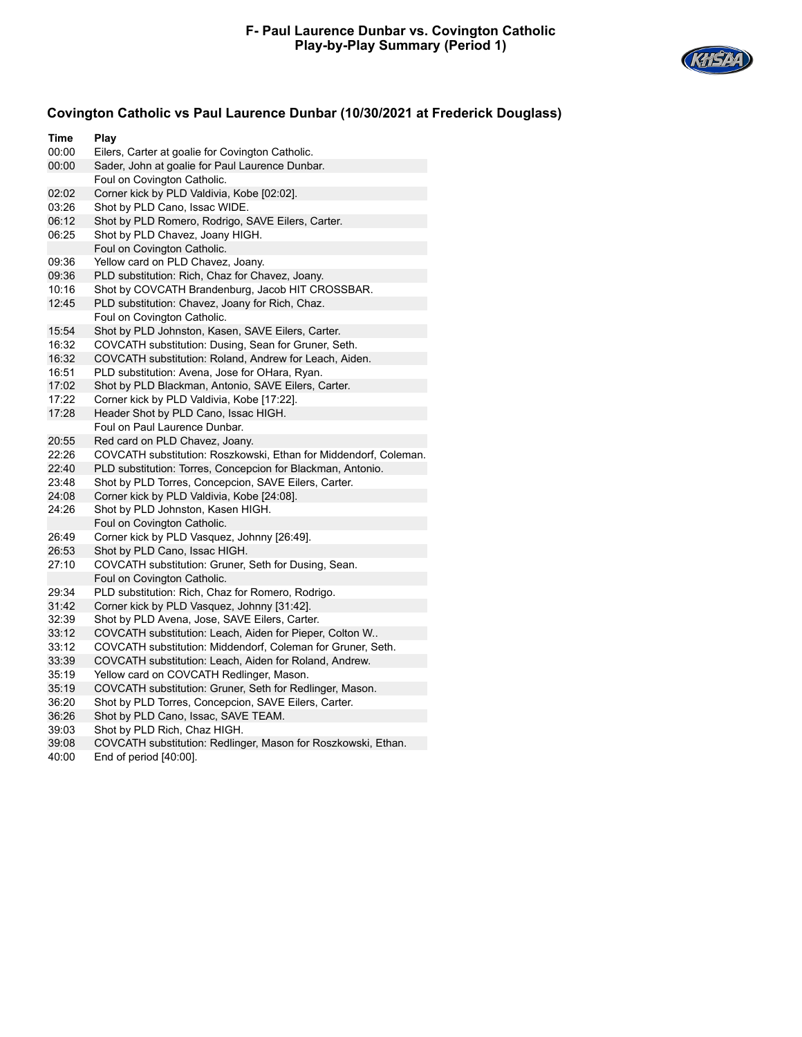

## **Covington Catholic vs Paul Laurence Dunbar (10/30/2021 at Frederick Douglass)**

| Time  | Play                                                             |  |  |  |  |
|-------|------------------------------------------------------------------|--|--|--|--|
| 00:00 | Eilers, Carter at goalie for Covington Catholic.                 |  |  |  |  |
| 00:00 | Sader, John at goalie for Paul Laurence Dunbar.                  |  |  |  |  |
|       | Foul on Covington Catholic.                                      |  |  |  |  |
| 02:02 | Corner kick by PLD Valdivia, Kobe [02:02].                       |  |  |  |  |
| 03:26 | Shot by PLD Cano, Issac WIDE.                                    |  |  |  |  |
| 06:12 | Shot by PLD Romero, Rodrigo, SAVE Eilers, Carter.                |  |  |  |  |
| 06:25 | Shot by PLD Chavez, Joany HIGH.                                  |  |  |  |  |
|       | Foul on Covington Catholic.                                      |  |  |  |  |
| 09:36 | Yellow card on PLD Chavez, Joany.                                |  |  |  |  |
| 09:36 | PLD substitution: Rich, Chaz for Chavez, Joany.                  |  |  |  |  |
| 10:16 | Shot by COVCATH Brandenburg, Jacob HIT CROSSBAR.                 |  |  |  |  |
| 12:45 | PLD substitution: Chavez, Joany for Rich, Chaz.                  |  |  |  |  |
|       | Foul on Covington Catholic.                                      |  |  |  |  |
| 15:54 | Shot by PLD Johnston, Kasen, SAVE Eilers, Carter.                |  |  |  |  |
| 16:32 | COVCATH substitution: Dusing, Sean for Gruner, Seth.             |  |  |  |  |
| 16:32 | COVCATH substitution: Roland, Andrew for Leach, Aiden.           |  |  |  |  |
| 16:51 | PLD substitution: Avena, Jose for OHara, Ryan.                   |  |  |  |  |
| 17:02 | Shot by PLD Blackman, Antonio, SAVE Eilers, Carter.              |  |  |  |  |
| 17:22 | Corner kick by PLD Valdivia, Kobe [17:22].                       |  |  |  |  |
| 17:28 | Header Shot by PLD Cano, Issac HIGH.                             |  |  |  |  |
|       | Foul on Paul Laurence Dunbar.                                    |  |  |  |  |
| 20:55 | Red card on PLD Chavez, Joany.                                   |  |  |  |  |
| 22:26 | COVCATH substitution: Roszkowski, Ethan for Middendorf, Coleman. |  |  |  |  |
| 22:40 | PLD substitution: Torres, Concepcion for Blackman, Antonio.      |  |  |  |  |
| 23:48 | Shot by PLD Torres, Concepcion, SAVE Eilers, Carter.             |  |  |  |  |
| 24:08 | Corner kick by PLD Valdivia, Kobe [24:08].                       |  |  |  |  |
| 24:26 | Shot by PLD Johnston, Kasen HIGH.                                |  |  |  |  |
|       | Foul on Covington Catholic.                                      |  |  |  |  |
| 26:49 | Corner kick by PLD Vasquez, Johnny [26:49].                      |  |  |  |  |
| 26:53 | Shot by PLD Cano, Issac HIGH.                                    |  |  |  |  |
| 27:10 | COVCATH substitution: Gruner, Seth for Dusing, Sean.             |  |  |  |  |
|       | Foul on Covington Catholic.                                      |  |  |  |  |
| 29:34 | PLD substitution: Rich, Chaz for Romero, Rodrigo.                |  |  |  |  |
| 31:42 | Corner kick by PLD Vasquez, Johnny [31:42].                      |  |  |  |  |
| 32:39 | Shot by PLD Avena, Jose, SAVE Eilers, Carter.                    |  |  |  |  |
| 33:12 | COVCATH substitution: Leach, Aiden for Pieper, Colton W          |  |  |  |  |
| 33:12 | COVCATH substitution: Middendorf, Coleman for Gruner, Seth.      |  |  |  |  |
| 33:39 | COVCATH substitution: Leach, Aiden for Roland, Andrew.           |  |  |  |  |
| 35:19 | Yellow card on COVCATH Redlinger, Mason.                         |  |  |  |  |
| 35:19 | COVCATH substitution: Gruner, Seth for Redlinger, Mason.         |  |  |  |  |
| 36:20 | Shot by PLD Torres, Concepcion, SAVE Eilers, Carter.             |  |  |  |  |
| 36:26 | Shot by PLD Cano, Issac, SAVE TEAM.                              |  |  |  |  |
| 39:03 | Shot by PLD Rich, Chaz HIGH.                                     |  |  |  |  |
| 39:08 | COVCATH substitution: Redlinger, Mason for Roszkowski, Ethan.    |  |  |  |  |

40:00 End of period [40:00].